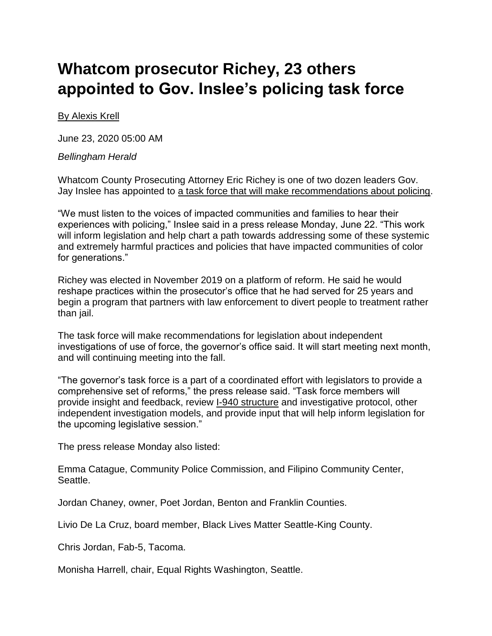## **Whatcom prosecutor Richey, 23 others appointed to Gov. Inslee's policing task force**

## [By Alexis Krell](mailto:akrell@thenewstribune.com)

June 23, 2020 05:00 AM

## *Bellingham Herald*

Whatcom County Prosecuting Attorney Eric Richey is one of two dozen leaders Gov. Jay Inslee has appointed to [a task force that will make recommendations about policing.](https://www.thenewstribune.com/news/politics-government/article243381596.html)

"We must listen to the voices of impacted communities and families to hear their experiences with policing," Inslee said in a press release Monday, June 22. "This work will inform legislation and help chart a path towards addressing some of these systemic and extremely harmful practices and policies that have impacted communities of color for generations."

Richey was elected in November 2019 on a platform of reform. He said he would reshape practices within the prosecutor's office that he had served for 25 years and begin a program that partners with law enforcement to divert people to treatment rather than jail.

The task force will make recommendations for legislation about independent investigations of use of force, the governor's office said. It will start meeting next month, and will continuing meeting into the fall.

"The governor's task force is a part of a coordinated effort with legislators to provide a comprehensive set of reforms," the press release said. "Task force members will provide insight and feedback, review [I-940 structure](https://www.sos.wa.gov/_assets/elections/initiatives/finaltext_1372.pdf) and investigative protocol, other independent investigation models, and provide input that will help inform legislation for the upcoming legislative session."

The press release Monday also listed:

Emma Catague, Community Police Commission, and Filipino Community Center, Seattle.

Jordan Chaney, owner, Poet Jordan, Benton and Franklin Counties.

Livio De La Cruz, board member, Black Lives Matter Seattle-King County.

Chris Jordan, Fab-5, Tacoma.

Monisha Harrell, chair, Equal Rights Washington, Seattle.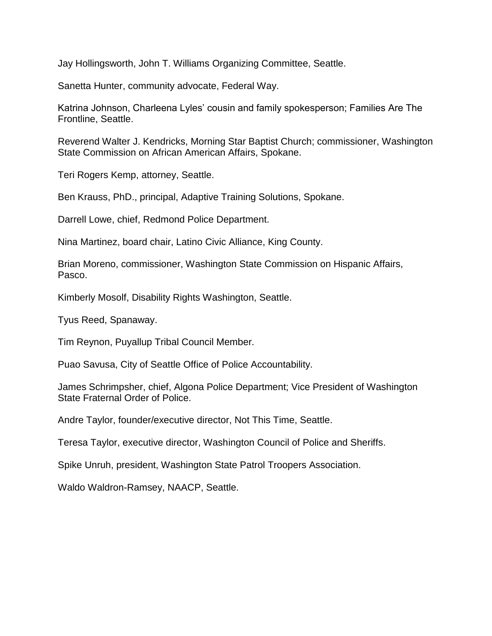Jay Hollingsworth, John T. Williams Organizing Committee, Seattle.

Sanetta Hunter, community advocate, Federal Way.

Katrina Johnson, Charleena Lyles' cousin and family spokesperson; Families Are The Frontline, Seattle.

Reverend Walter J. Kendricks, Morning Star Baptist Church; commissioner, Washington State Commission on African American Affairs, Spokane.

Teri Rogers Kemp, attorney, Seattle.

Ben Krauss, PhD., principal, Adaptive Training Solutions, Spokane.

Darrell Lowe, chief, Redmond Police Department.

Nina Martinez, board chair, Latino Civic Alliance, King County.

Brian Moreno, commissioner, Washington State Commission on Hispanic Affairs, Pasco.

Kimberly Mosolf, Disability Rights Washington, Seattle.

Tyus Reed, Spanaway.

Tim Reynon, Puyallup Tribal Council Member.

Puao Savusa, City of Seattle Office of Police Accountability.

James Schrimpsher, chief, Algona Police Department; Vice President of Washington State Fraternal Order of Police.

Andre Taylor, founder/executive director, Not This Time, Seattle.

Teresa Taylor, executive director, Washington Council of Police and Sheriffs.

Spike Unruh, president, Washington State Patrol Troopers Association.

Waldo Waldron-Ramsey, NAACP, Seattle.